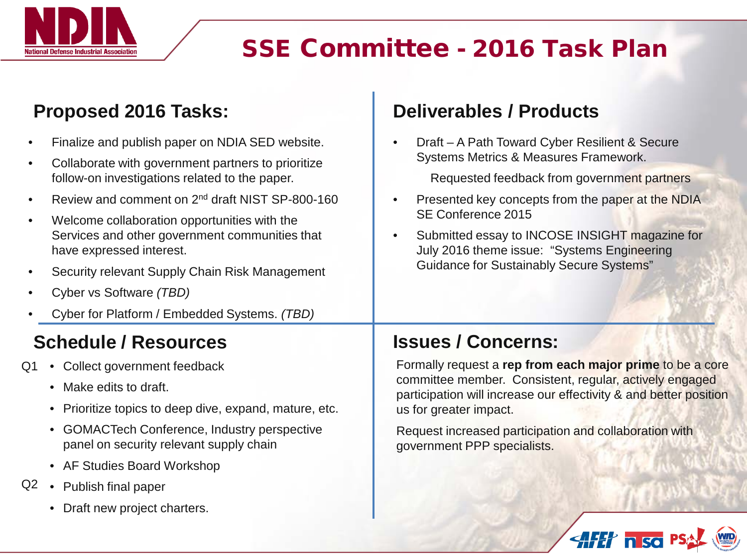

## SSE Committee - 2016 Task Plan

government PPP specialists.

### Proposed 2016 Tasks: **Deliverables / Products**

panel on security relevant supply chain

• AF Studies Board Workshop

• Draft new project charters.

Q2 • Publish final paper

| Finalize and publish paper on NDIA SED website.<br>Collaborate with government partners to prioritize<br>follow-on investigations related to the paper.<br>Review and comment on 2 <sup>nd</sup> draft NIST SP-800-160<br>Welcome collaboration opportunities with the<br>Services and other government communities that<br>have expressed interest.<br>Security relevant Supply Chain Risk Management<br>Cyber vs Software (TBD)<br>Cyber for Platform / Embedded Systems. (TBD) | Draft - A Path Toward Cyber Resilient & Secure<br>Systems Metrics & Measures Framework.<br>Requested feedback from government partners<br>Presented key concepts from the paper at the NDIA<br>SE Conference 2015<br>Submitted essay to INCOSE INSIGHT magazine for<br>$\bullet$<br>July 2016 theme issue: "Systems Engineering<br><b>Guidance for Sustainably Secure Systems"</b> |
|-----------------------------------------------------------------------------------------------------------------------------------------------------------------------------------------------------------------------------------------------------------------------------------------------------------------------------------------------------------------------------------------------------------------------------------------------------------------------------------|------------------------------------------------------------------------------------------------------------------------------------------------------------------------------------------------------------------------------------------------------------------------------------------------------------------------------------------------------------------------------------|
| <b>Schedule / Resources</b>                                                                                                                                                                                                                                                                                                                                                                                                                                                       | <b>Issues / Concerns:</b>                                                                                                                                                                                                                                                                                                                                                          |
| Collect government feedback<br>Q1<br>Make edits to draft.<br>$\bullet$<br>Prioritize topics to deep dive, expand, mature, etc.<br>$\bullet$                                                                                                                                                                                                                                                                                                                                       | Formally request a rep from each major prime to be a core<br>committee member. Consistent, regular, actively engaged<br>participation will increase our effectivity & and better position<br>us for greater impact.                                                                                                                                                                |
| • GOMACTech Conference, Industry perspective                                                                                                                                                                                                                                                                                                                                                                                                                                      | Request increased participation and collaboration with                                                                                                                                                                                                                                                                                                                             |

HH nsa P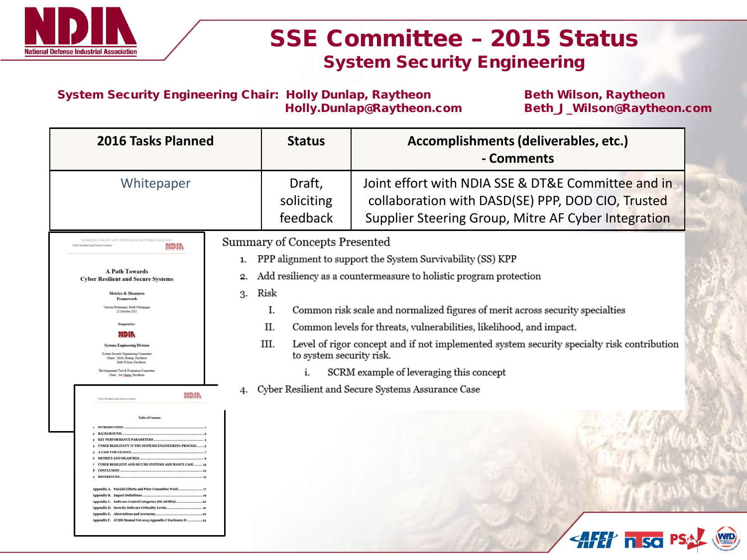

### SSE Committee – 2015 Status System Security Engineering

System Security Engineering Chair: Holly Dunlap, Raytheon Beth Wilson, Raytheon Holly.Dunlap@Raytheon.com Beth\_J\_Wilson@Raytheon.com

| 2016 Tasks Planned                                                                                             |    | <b>Status</b>                                                                                     | Accomplishments (deliverables, etc.)<br>- Comments                                                                                                             |  |
|----------------------------------------------------------------------------------------------------------------|----|---------------------------------------------------------------------------------------------------|----------------------------------------------------------------------------------------------------------------------------------------------------------------|--|
| Whitepaper                                                                                                     |    | Draft,<br>soliciting<br>feedback                                                                  | Joint effort with NDIA SSE & DT&E Committee and in<br>collaboration with DASD(SE) PPP, DOD CIO, Trusted<br>Supplier Steering Group, Mitre AF Cyber Integration |  |
| WORKING DRAFT NOT APPOVED FOR PURLIC RELEASE<br><b>Net Resilient and Secure Systems</b><br>NDIN                |    | Summary of Concepts Presented                                                                     |                                                                                                                                                                |  |
|                                                                                                                | 1. |                                                                                                   | PPP alignment to support the System Survivability (SS) KPP                                                                                                     |  |
| <b>A Path Towards</b>                                                                                          | 2. | Add resiliency as a countermeasure to holistic program protection                                 |                                                                                                                                                                |  |
| <b>Cyber Resilient and Secure Systems</b>                                                                      |    |                                                                                                   |                                                                                                                                                                |  |
| <b>Metrics &amp; Measures</b><br>Framework                                                                     | 3. | Risk                                                                                              |                                                                                                                                                                |  |
| Version Preliminary Draft Whitepape<br>25 October 2015                                                         |    | I.                                                                                                | Common risk scale and normalized figures of merit across security specialties                                                                                  |  |
| Prepared by:                                                                                                   |    | II.                                                                                               | Common levels for threats, vulnerabilities, likelihood, and impact.                                                                                            |  |
| NDIN                                                                                                           |    | III.<br>Level of rigor concept and if not implemented system security specialty risk contribution |                                                                                                                                                                |  |
| <b>Systems Engineering Division</b><br>System Security Engineering Committee<br>Chairs: Holly Dunlap, Raytheon |    | to system security risk.                                                                          |                                                                                                                                                                |  |
| Reth Wilson, Raytheon.<br>Developmental Test & Evaluation Committee<br>Chair: Joe Manas, Raytheon              |    | SCRM example of leveraging this concept<br>i.                                                     |                                                                                                                                                                |  |
|                                                                                                                |    | Cyber Resilient and Secure Systems Assurance Case                                                 |                                                                                                                                                                |  |
| NDIN<br>Cyber Resilient and Secure System                                                                      | 4. |                                                                                                   |                                                                                                                                                                |  |
| Table of Context                                                                                               |    |                                                                                                   |                                                                                                                                                                |  |
| <b>INTRODUCTION</b>                                                                                            |    |                                                                                                   |                                                                                                                                                                |  |
| 3 KEY PERFORMANCE PARAMETERS                                                                                   |    |                                                                                                   |                                                                                                                                                                |  |
| 4 CYBER RESILIENCY IN THE SYSTEMS ENGINEERING PROCESS.                                                         |    |                                                                                                   |                                                                                                                                                                |  |
|                                                                                                                |    |                                                                                                   |                                                                                                                                                                |  |
| <b>7 CYBER RESILIENT AND SECURE SYSTEMS ASSURANCE CASE</b><br>8 CONCLUSION                                     |    |                                                                                                   |                                                                                                                                                                |  |
|                                                                                                                |    |                                                                                                   |                                                                                                                                                                |  |
| Appendix A. Parallel Efforts and Prior Committee Wor                                                           |    |                                                                                                   |                                                                                                                                                                |  |
| Appendix B. Impact Definitions.                                                                                |    |                                                                                                   |                                                                                                                                                                |  |
| Appendix C. Software Control Categories Mil std 88aE.<br>Appendix D. Security Software Criticality Level       |    |                                                                                                   |                                                                                                                                                                |  |
| Appendix E. Abreviations and Acromms                                                                           |    |                                                                                                   |                                                                                                                                                                |  |
| Appendix F. JCIDS Manual Feb 2015 Appendix CEnclosure D.                                                       |    |                                                                                                   |                                                                                                                                                                |  |
|                                                                                                                |    |                                                                                                   |                                                                                                                                                                |  |
|                                                                                                                |    |                                                                                                   | n so                                                                                                                                                           |  |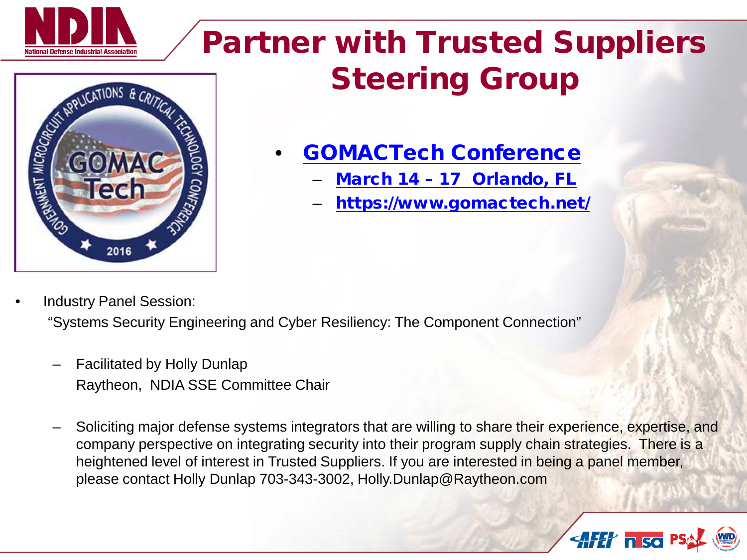

# Partner with Trusted Suppliers Steering Group



### • [GOMACTech](https://www.gomactech.net/) Conference

- March 14 [17 Orlando, FL](https://www.gomactech.net/)
- <https://www.gomactech.net/>

• Industry Panel Session:

"Systems Security Engineering and Cyber Resiliency: The Component Connection"

- Facilitated by Holly Dunlap Raytheon, NDIA SSE Committee Chair
- Soliciting major defense systems integrators that are willing to share their experience, expertise, and company perspective on integrating security into their program supply chain strategies. There is a heightened level of interest in Trusted Suppliers. If you are interested in being a panel member, please contact Holly Dunlap 703-343-3002, Holly.Dunlap@Raytheon.com